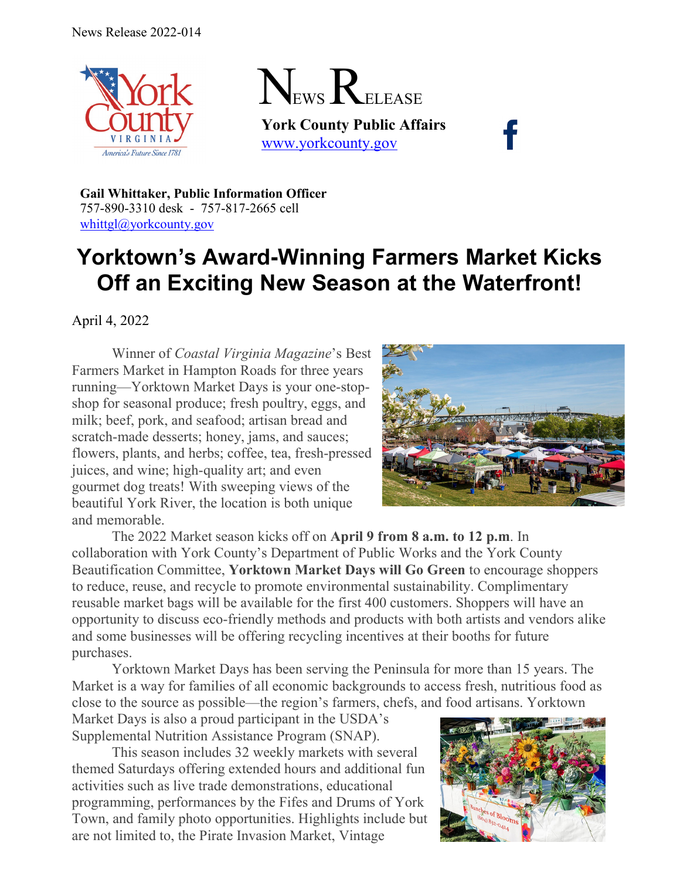



**York County Public Affairs** [www.yorkcounty.gov](http://www.yorkcounty.gov/)

**Gail Whittaker, Public Information Officer** 757-890-3310 desk - 757-817-2665 cell [whittgl@yorkcounty.gov](mailto:whittgl@yorkcounty.gov)

## **Yorktown's Award-Winning Farmers Market Kicks Off an Exciting New Season at the Waterfront!**

April 4, 2022

Winner of *Coastal Virginia Magazine*'s Best Farmers Market in Hampton Roads for three years running—Yorktown Market Days is your one-stopshop for seasonal produce; fresh poultry, eggs, and milk; beef, pork, and seafood; artisan bread and scratch-made desserts; honey, jams, and sauces; flowers, plants, and herbs; coffee, tea, fresh-pressed juices, and wine; high-quality art; and even gourmet dog treats! With sweeping views of the beautiful York River, the location is both unique and memorable.



The 2022 Market season kicks off on **April 9 from 8 a.m. to 12 p.m**. In collaboration with York County's Department of Public Works and the York County Beautification Committee, **Yorktown Market Days will Go Green** to encourage shoppers to reduce, reuse, and recycle to promote environmental sustainability. Complimentary reusable market bags will be available for the first 400 customers. Shoppers will have an opportunity to discuss eco-friendly methods and products with both artists and vendors alike and some businesses will be offering recycling incentives at their booths for future purchases.

Yorktown Market Days has been serving the Peninsula for more than 15 years. The Market is a way for families of all economic backgrounds to access fresh, nutritious food as close to the source as possible—the region's farmers, chefs, and food artisans. Yorktown

Market Days is also a proud participant in the USDA's Supplemental Nutrition Assistance Program (SNAP).

This season includes 32 weekly markets with several themed Saturdays offering extended hours and additional fun activities such as live trade demonstrations, educational programming, performances by the Fifes and Drums of York Town, and family photo opportunities. Highlights include but are not limited to, the Pirate Invasion Market, Vintage